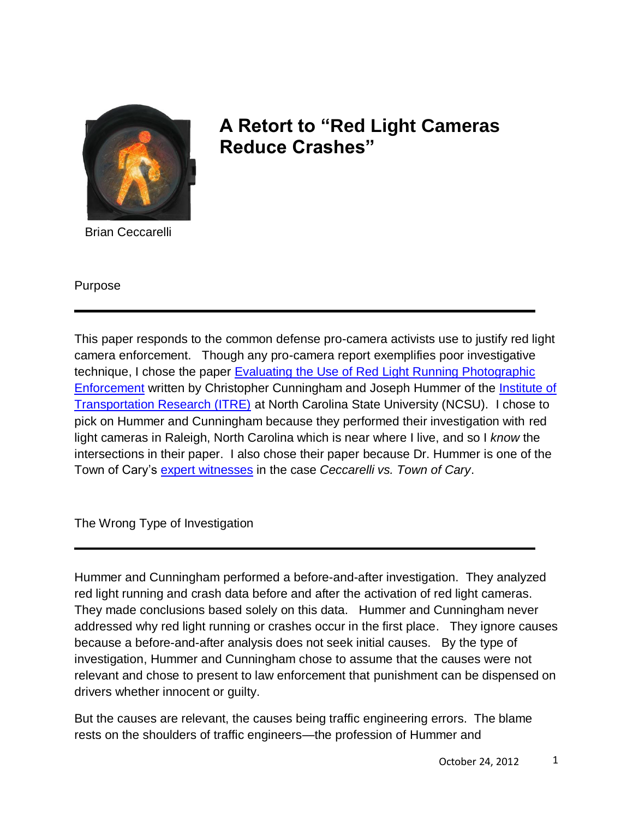

## **A Retort to "Red Light Cameras Reduce Crashes"**

Brian Ceccarelli

Purpose

This paper responds to the common defense pro-camera activists use to justify red light camera enforcement. Though any pro-camera report exemplifies poor investigative technique, I chose the paper Evaluating [the Use of Red Light Running Photographic](http://redlightrobber.com/red/links_pdf/Evaluating-The-Use-Of-Red-Light-Running-Photographic-Enforcement.pdf)  [Enforcement](http://redlightrobber.com/red/links_pdf/Evaluating-The-Use-Of-Red-Light-Running-Photographic-Enforcement.pdf) written by Christopher Cunningham and Joseph Hummer of the [Institute of](http://itre.ncsu.edu/)  [Transportation Research \(ITRE\)](http://itre.ncsu.edu/) at North Carolina State University (NCSU). I chose to pick on Hummer and Cunningham because they performed their investigation with red light cameras in Raleigh, North Carolina which is near where I live, and so I *know* the intersections in their paper. I also chose their paper because Dr. Hummer is one of the Town of Cary's [expert witnesses](http://redlightrobber.com/red/links_pdf/Cary-Expert-Witness-Designation.pdf) in the case *Ceccarelli vs. Town of Cary*.

The Wrong Type of Investigation

Hummer and Cunningham performed a before-and-after investigation. They analyzed red light running and crash data before and after the activation of red light cameras. They made conclusions based solely on this data. Hummer and Cunningham never addressed why red light running or crashes occur in the first place. They ignore causes because a before-and-after analysis does not seek initial causes. By the type of investigation, Hummer and Cunningham chose to assume that the causes were not relevant and chose to present to law enforcement that punishment can be dispensed on drivers whether innocent or guilty.

But the causes are relevant, the causes being traffic engineering errors. The blame rests on the shoulders of traffic engineers—the profession of Hummer and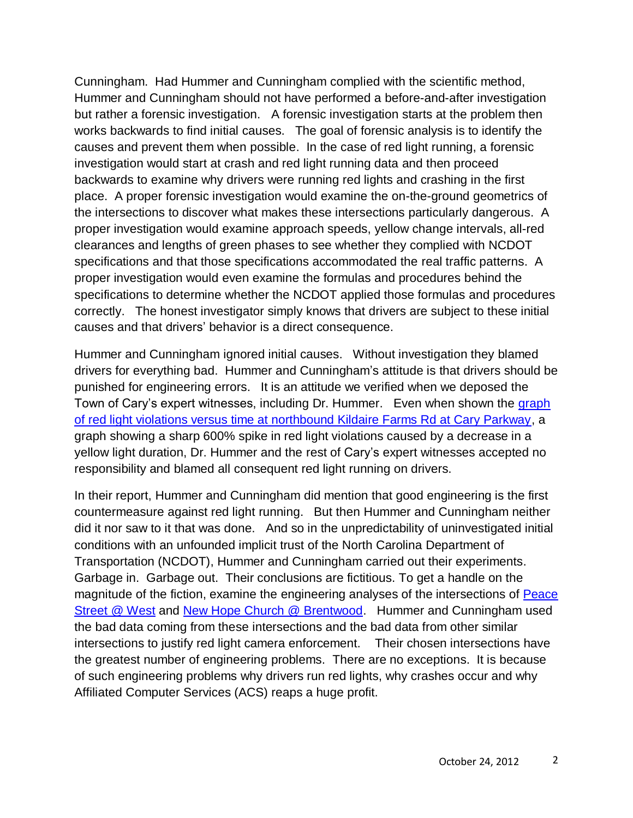Cunningham. Had Hummer and Cunningham complied with the scientific method, Hummer and Cunningham should not have performed a before-and-after investigation but rather a forensic investigation. A forensic investigation starts at the problem then works backwards to find initial causes. The goal of forensic analysis is to identify the causes and prevent them when possible. In the case of red light running, a forensic investigation would start at crash and red light running data and then proceed backwards to examine why drivers were running red lights and crashing in the first place. A proper forensic investigation would examine the on-the-ground geometrics of the intersections to discover what makes these intersections particularly dangerous. A proper investigation would examine approach speeds, yellow change intervals, all-red clearances and lengths of green phases to see whether they complied with NCDOT specifications and that those specifications accommodated the real traffic patterns. A proper investigation would even examine the formulas and procedures behind the specifications to determine whether the NCDOT applied those formulas and procedures correctly. The honest investigator simply knows that drivers are subject to these initial causes and that drivers' behavior is a direct consequence.

Hummer and Cunningham ignored initial causes. Without investigation they blamed drivers for everything bad. Hummer and Cunningham's attitude is that drivers should be punished for engineering errors. It is an attitude we verified when we deposed the Town of Cary's expert witnesses, including Dr. Hummer. Even when shown the graph [of red light violations versus time at northbound Kildaire Farms Rd at Cary Parkway,](http://redlightrobber.com/red/links_pdf/How-Yellow-Intervals-Affect-Red-Light-Running.pdf) a graph showing a sharp 600% spike in red light violations caused by a decrease in a yellow light duration, Dr. Hummer and the rest of Cary's expert witnesses accepted no responsibility and blamed all consequent red light running on drivers.

In their report, Hummer and Cunningham did mention that good engineering is the first countermeasure against red light running. But then Hummer and Cunningham neither did it nor saw to it that was done. And so in the unpredictability of uninvestigated initial conditions with an unfounded implicit trust of the North Carolina Department of Transportation (NCDOT), Hummer and Cunningham carried out their experiments. Garbage in. Garbage out. Their conclusions are fictitious. To get a handle on the magnitude of the fiction, examine the engineering analyses of the intersections of Peace [Street @ West](http://redlightrobber.com/red/links_pdf/signal-plans/raleigh/Intersection-Analysis-Peace-at-West.pdf) and [New Hope Church @ Brentwood.](http://redlightrobber.com/red/links_pdf/signal-plans/raleigh/Intersection-Analysis-New-Hope-Church-at-Brentwood.pdf) Hummer and Cunningham used the bad data coming from these intersections and the bad data from other similar intersections to justify red light camera enforcement. Their chosen intersections have the greatest number of engineering problems. There are no exceptions. It is because of such engineering problems why drivers run red lights, why crashes occur and why Affiliated Computer Services (ACS) reaps a huge profit.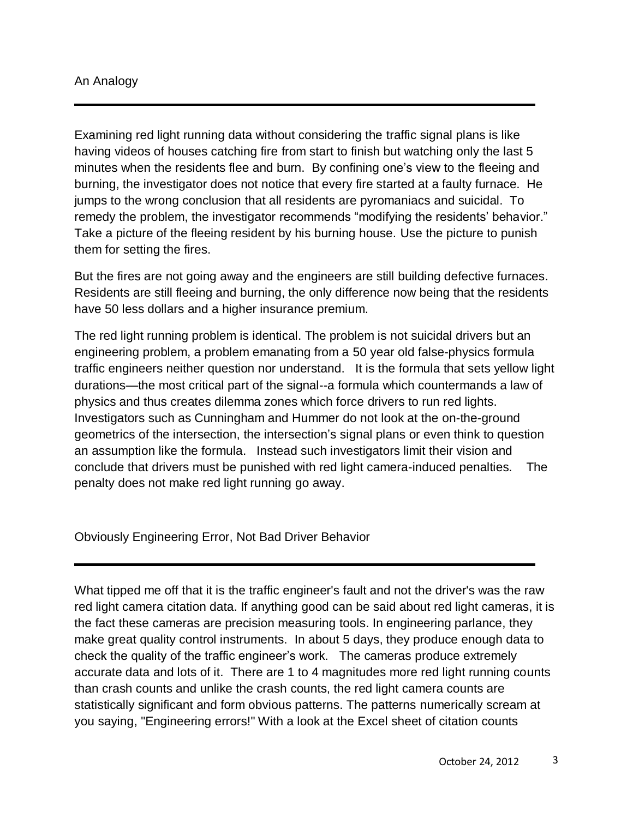## An Analogy

Examining red light running data without considering the traffic signal plans is like having videos of houses catching fire from start to finish but watching only the last 5 minutes when the residents flee and burn. By confining one's view to the fleeing and burning, the investigator does not notice that every fire started at a faulty furnace. He jumps to the wrong conclusion that all residents are pyromaniacs and suicidal. To remedy the problem, the investigator recommends "modifying the residents' behavior." Take a picture of the fleeing resident by his burning house. Use the picture to punish them for setting the fires.

But the fires are not going away and the engineers are still building defective furnaces. Residents are still fleeing and burning, the only difference now being that the residents have 50 less dollars and a higher insurance premium.

The red light running problem is identical. The problem is not suicidal drivers but an engineering problem, a problem emanating from a 50 year old false-physics formula traffic engineers neither question nor understand. It is the formula that sets yellow light durations—the most critical part of the signal--a formula which countermands a law of physics and thus creates dilemma zones which force drivers to run red lights. Investigators such as Cunningham and Hummer do not look at the on-the-ground geometrics of the intersection, the intersection's signal plans or even think to question an assumption like the formula. Instead such investigators limit their vision and conclude that drivers must be punished with red light camera-induced penalties. The penalty does not make red light running go away.

Obviously Engineering Error, Not Bad Driver Behavior

What tipped me off that it is the traffic engineer's fault and not the driver's was the raw red light camera citation data. If anything good can be said about red light cameras, it is the fact these cameras are precision measuring tools. In engineering parlance, they make great quality control instruments. In about 5 days, they produce enough data to check the quality of the traffic engineer's work. The cameras produce extremely accurate data and lots of it. There are 1 to 4 magnitudes more red light running counts than crash counts and unlike the crash counts, the red light camera counts are statistically significant and form obvious patterns. The patterns numerically scream at you saying, "Engineering errors!" With a look at the Excel sheet of citation counts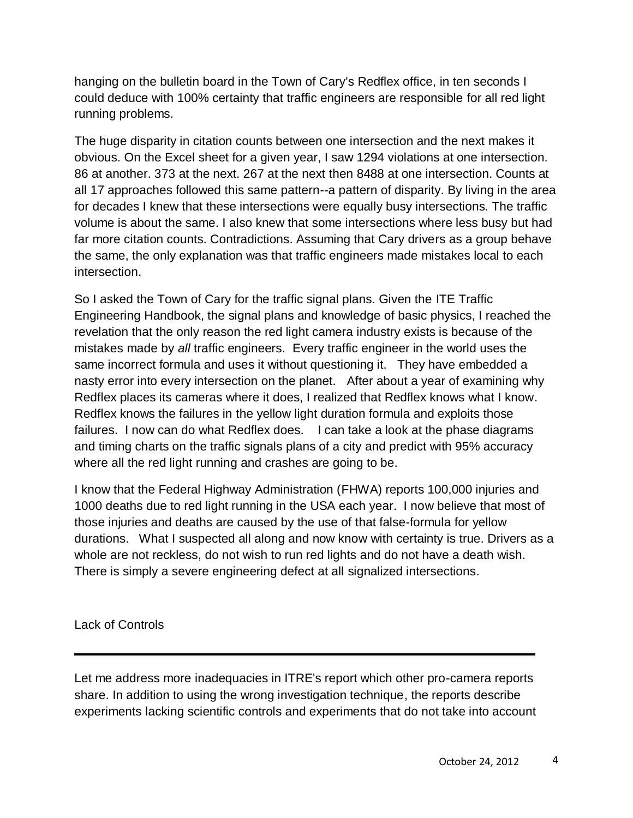hanging on the bulletin board in the Town of Cary's Redflex office, in ten seconds I could deduce with 100% certainty that traffic engineers are responsible for all red light running problems.

The huge disparity in citation counts between one intersection and the next makes it obvious. On the Excel sheet for a given year, I saw 1294 violations at one intersection. 86 at another. 373 at the next. 267 at the next then 8488 at one intersection. Counts at all 17 approaches followed this same pattern--a pattern of disparity. By living in the area for decades I knew that these intersections were equally busy intersections. The traffic volume is about the same. I also knew that some intersections where less busy but had far more citation counts. Contradictions. Assuming that Cary drivers as a group behave the same, the only explanation was that traffic engineers made mistakes local to each intersection.

So I asked the Town of Cary for the traffic signal plans. Given the ITE Traffic Engineering Handbook, the signal plans and knowledge of basic physics, I reached the revelation that the only reason the red light camera industry exists is because of the mistakes made by *all* traffic engineers. Every traffic engineer in the world uses the same incorrect formula and uses it without questioning it. They have embedded a nasty error into every intersection on the planet. After about a year of examining why Redflex places its cameras where it does, I realized that Redflex knows what I know. Redflex knows the failures in the yellow light duration formula and exploits those failures. I now can do what Redflex does. I can take a look at the phase diagrams and timing charts on the traffic signals plans of a city and predict with 95% accuracy where all the red light running and crashes are going to be.

I know that the Federal Highway Administration (FHWA) reports 100,000 injuries and 1000 deaths due to red light running in the USA each year. I now believe that most of those injuries and deaths are caused by the use of that false-formula for yellow durations. What I suspected all along and now know with certainty is true. Drivers as a whole are not reckless, do not wish to run red lights and do not have a death wish. There is simply a severe engineering defect at all signalized intersections.

Lack of Controls

Let me address more inadequacies in ITRE's report which other pro-camera reports share. In addition to using the wrong investigation technique, the reports describe experiments lacking scientific controls and experiments that do not take into account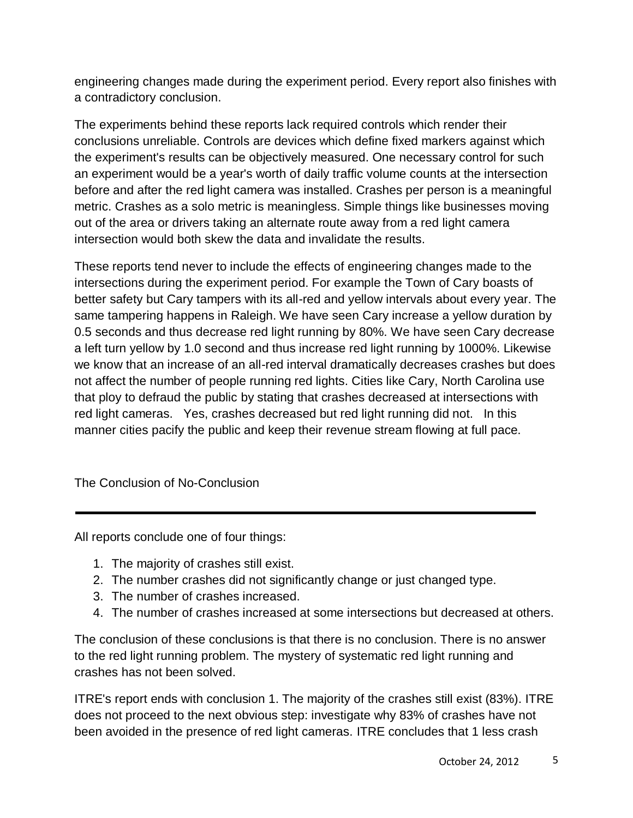engineering changes made during the experiment period. Every report also finishes with a contradictory conclusion.

The experiments behind these reports lack required controls which render their conclusions unreliable. Controls are devices which define fixed markers against which the experiment's results can be objectively measured. One necessary control for such an experiment would be a year's worth of daily traffic volume counts at the intersection before and after the red light camera was installed. Crashes per person is a meaningful metric. Crashes as a solo metric is meaningless. Simple things like businesses moving out of the area or drivers taking an alternate route away from a red light camera intersection would both skew the data and invalidate the results.

These reports tend never to include the effects of engineering changes made to the intersections during the experiment period. For example the Town of Cary boasts of better safety but Cary tampers with its all-red and yellow intervals about every year. The same tampering happens in Raleigh. We have seen Cary increase a yellow duration by 0.5 seconds and thus decrease red light running by 80%. We have seen Cary decrease a left turn yellow by 1.0 second and thus increase red light running by 1000%. Likewise we know that an increase of an all-red interval dramatically decreases crashes but does not affect the number of people running red lights. Cities like Cary, North Carolina use that ploy to defraud the public by stating that crashes decreased at intersections with red light cameras. Yes, crashes decreased but red light running did not. In this manner cities pacify the public and keep their revenue stream flowing at full pace.

The Conclusion of No-Conclusion

All reports conclude one of four things:

- 1. The majority of crashes still exist.
- 2. The number crashes did not significantly change or just changed type.
- 3. The number of crashes increased.
- 4. The number of crashes increased at some intersections but decreased at others.

The conclusion of these conclusions is that there is no conclusion. There is no answer to the red light running problem. The mystery of systematic red light running and crashes has not been solved.

ITRE's report ends with conclusion 1. The majority of the crashes still exist (83%). ITRE does not proceed to the next obvious step: investigate why 83% of crashes have not been avoided in the presence of red light cameras. ITRE concludes that 1 less crash